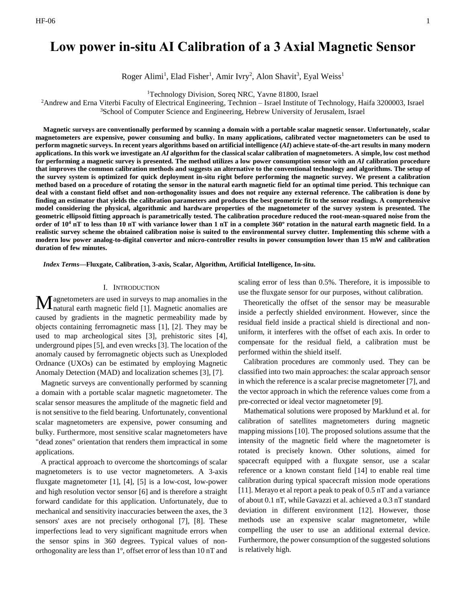# **Low power in-situ AI Calibration of a 3 Axial Magnetic Sensor**

Roger Alimi<sup>1</sup>, Elad Fisher<sup>1</sup>, Amir Ivry<sup>2</sup>, Alon Shavit<sup>3</sup>, Eyal Weiss<sup>1</sup>

<sup>1</sup>Technology Division, Soreq NRC, Yavne 81800, Israel

<sup>2</sup>Andrew and Erna Viterbi Faculty of Electrical Engineering, Technion – Israel Institute of Technology, Haifa 3200003, Israel <sup>3</sup>School of Computer Science and Engineering, Hebrew University of Jerusalem, Israel

**Magnetic surveys are conventionally performed by scanning a domain with a portable scalar magnetic sensor. Unfortunately, scalar magnetometers are expensive, power consuming and bulky. In many applications, calibrated vector magnetometers can be used to perform magnetic surveys. In recent years algorithms based on artificial intelligence (***AI***) achieve state-of-the-art results in many modern applications. In this work we investigate an** *AI* **algorithm for the classical scalar calibration of magnetometers. A simple, low cost method for performing a magnetic survey is presented. The method utilizes a low power consumption sensor with an** *AI* **calibration procedure that improves the common calibration methods and suggests an alternative to the conventional technology and algorithms. The setup of the survey system is optimized for quick deployment in-situ right before performing the magnetic survey. We present a calibration method based on a procedure of rotating the sensor in the natural earth magnetic field for an optimal time period. This technique can deal with a constant field offset and non-orthogonality issues and does not require any external reference. The calibration is done by finding an estimator that yields the calibration parameters and produces the best geometric fit to the sensor readings. A comprehensive model considering the physical, algorithmic and hardware properties of the magnetometer of the survey system is presented. The geometric ellipsoid fitting approach is parametrically tested. The calibration procedure reduced the root-mean-squared noise from the order of 10<sup>4</sup> nT to less than 10 nT with variance lower than 1 nT in a complete 360º rotation in the natural earth magnetic field. In a realistic survey scheme the obtained calibration noise is suited to the environmental survey clutter. Implementing this scheme with a modern low power analog-to-digital convertor and micro-controller results in power consumption lower than 15 mW and calibration duration of few minutes.**

*Index Terms***—Fluxgate, Calibration, 3-axis, Scalar, Algorithm, Artificial Intelligence, In-situ.**

# I. INTRODUCTION

agnetometers are used in surveys to map anomalies in the  $\mathbf M$ agnetometers are used in surveys to map anomalies in the natural earth magnetic field [1]. Magnetic anomalies are caused by gradients in the magnetic permeability made by objects containing ferromagnetic mass [1], [2]. They may be used to map archeological sites [3], prehistoric sites [4], underground pipes [5], and even wrecks [3]. The location of the anomaly caused by ferromagnetic objects such as Unexploded Ordnance (UXOs) can be estimated by employing Magnetic Anomaly Detection (MAD) and localization schemes [3], [7].

Magnetic surveys are conventionally performed by scanning a domain with a portable scalar magnetic magnetometer. The scalar sensor measures the amplitude of the magnetic field and is not sensitive to the field bearing. Unfortunately, conventional scalar magnetometers are expensive, power consuming and bulky. Furthermore, most sensitive scalar magnetometers have "dead zones" orientation that renders them impractical in some applications.

A practical approach to overcome the shortcomings of scalar magnetometers is to use vector magnetometers. A 3-axis fluxgate magnetometer [1], [4], [5] is a low-cost, low-power and high resolution vector sensor [6] and is therefore a straight forward candidate for this application. Unfortunately, due to mechanical and sensitivity inaccuracies between the axes, the 3 sensors' axes are not precisely orthogonal [7], [8]. These imperfections lead to very significant magnitude errors when the sensor spins in 360 degrees. Typical values of nonorthogonality are less than 1º, offset error of less than 10 nT and scaling error of less than 0.5%. Therefore, it is impossible to use the fluxgate sensor for our purposes, without calibration.

Theoretically the offset of the sensor may be measurable inside a perfectly shielded environment. However, since the residual field inside a practical shield is directional and nonuniform, it interferes with the offset of each axis. In order to compensate for the residual field, a calibration must be performed within the shield itself.

Calibration procedures are commonly used. They can be classified into two main approaches: the scalar approach sensor in which the reference is a scalar precise magnetometer [7], and the vector approach in which the reference values come from a pre-corrected or ideal vector magnetometer [9].

Mathematical solutions were proposed by Marklund et al. for calibration of satellites magnetometers during magnetic mapping missions [10]. The proposed solutions assume that the intensity of the magnetic field where the magnetometer is rotated is precisely known. Other solutions, aimed for spacecraft equipped with a fluxgate sensor, use a scalar reference or a known constant field [14] to enable real time calibration during typical spacecraft mission mode operations [11]. Merayo et al report a peak to peak of 0.5 nT and a variance of about 0.1 nT, while Gavazzi et al. achieved a 0.3 nT standard deviation in different environment [12]. However, those methods use an expensive scalar magnetometer, while compelling the user to use an additional external device. Furthermore, the power consumption of the suggested solutions is relatively high.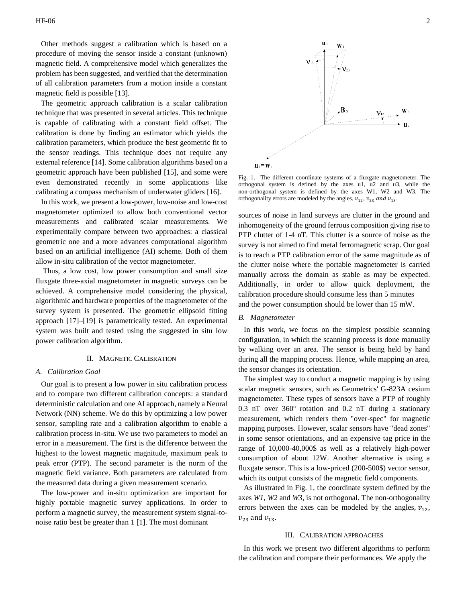Other methods suggest a calibration which is based on a procedure of moving the sensor inside a constant (unknown) magnetic field. A comprehensive model which generalizes the problem has been suggested, and verified that the determination of all calibration parameters from a motion inside a constant magnetic field is possible [13].

The geometric approach calibration is a scalar calibration technique that was presented in several articles. This technique is capable of calibrating with a constant field offset. The calibration is done by finding an estimator which yields the calibration parameters, which produce the best geometric fit to the sensor readings. This technique does not require any external reference [14]. Some calibration algorithms based on a geometric approach have been published [15], and some were even demonstrated recently in some applications like calibrating a compass mechanism of underwater gliders [16].

In this work, we present a low-power, low-noise and low-cost magnetometer optimized to allow both conventional vector measurements and calibrated scalar measurements. We experimentally compare between two approaches: a classical geometric one and a more advances computational algorithm based on an artificial intelligence (AI) scheme. Both of them allow in-situ calibration of the vector magnetometer.

Thus, a low cost, low power consumption and small size fluxgate three-axial magnetometer in magnetic surveys can be achieved. A comprehensive model considering the physical, algorithmic and hardware properties of the magnetometer of the survey system is presented. The geometric ellipsoid fitting approach [17]–[19] is parametrically tested. An experimental system was built and tested using the suggested in situ low power calibration algorithm.

#### II. MAGNETIC CALIBRATION

## *A. Calibration Goal*

Our goal is to present a low power in situ calibration process and to compare two different calibration concepts: a standard deterministic calculation and one AI approach, namely a Neural Network (NN) scheme. We do this by optimizing a low power sensor, sampling rate and a calibration algorithm to enable a calibration process in-situ. We use two parameters to model an error in a measurement. The first is the difference between the highest to the lowest magnetic magnitude, maximum peak to peak error (PTP). The second parameter is the norm of the magnetic field variance. Both parameters are calculated from the measured data during a given measurement scenario.

The low-power and in-situ optimization are important for highly portable magnetic survey applications. In order to perform a magnetic survey, the measurement system signal-tonoise ratio best be greater than 1 [1]. The most dominant



Fig. 1. The different coordinate systems of a fluxgate magnetometer. The orthogonal system is defined by the axes u1, u2 and u3, while the non-orthogonal system is defined by the axes W1, W2 and W3. The orthogonality errors are modeled by the angles,  $v_{12}$ ,  $v_{23}$  and  $v_{13}$ .

sources of noise in land surveys are clutter in the ground and inhomogeneity of the ground ferrous composition giving rise to PTP clutter of 1-4 nT. This clutter is a source of noise as the survey is not aimed to find metal ferromagnetic scrap. Our goal is to reach a PTP calibration error of the same magnitude as of the clutter noise where the portable magnetometer is carried manually across the domain as stable as may be expected. Additionally, in order to allow quick deployment, the calibration procedure should consume less than 5 minutes and the power consumption should be lower than 15 mW.

## *B. Magnetometer*

In this work, we focus on the simplest possible scanning configuration, in which the scanning process is done manually by walking over an area. The sensor is being held by hand during all the mapping process. Hence, while mapping an area, the sensor changes its orientation.

The simplest way to conduct a magnetic mapping is by using scalar magnetic sensors, such as Geometrics' G-823A cesium magnetometer. These types of sensors have a PTP of roughly 0.3 nT over 360º rotation and 0.2 nT during a stationary measurement, which renders them "over-spec" for magnetic mapping purposes. However, scalar sensors have "dead zones" in some sensor orientations, and an expensive tag price in the range of 10,000-40,000\$ as well as a relatively high-power consumption of about 12W. Another alternative is using a fluxgate sensor. This is a low-priced (200-500\$) vector sensor, which its output consists of the magnetic field components.

As illustrated in Fig. 1, the coordinate system defined by the axes *W1*, *W2* and *W3*, is not orthogonal. The non-orthogonality errors between the axes can be modeled by the angles,  $v_{12}$ ,  $v_{23}$  and  $v_{13}$ .

# III. CALIBRATION APPROACHES

In this work we present two different algorithms to perform the calibration and compare their performances. We apply the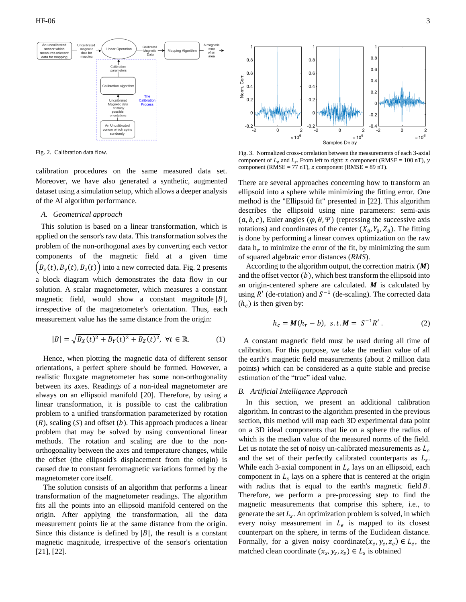

<span id="page-2-0"></span>Fig. 2. Calibration data flow.

calibration procedures on the same measured data set. Moreover, we have also generated a synthetic, augmented dataset using a simulation setup, which allows a deeper analysis of the AI algorithm performance.

## *A. Geometrical approach*

This solution is based on a linear transformation, which is applied on the sensor's raw data. This transformation solves the problem of the non-orthogonal axes by converting each vector components of the magnetic field at a given time  $(B_x(t), B_y(t), B_z(t))$  into a new corrected data. [Fig. 2](#page-2-0) presents a block diagram which demonstrates the data flow in our solution. A scalar magnetometer, which measures a constant magnetic field, would show a constant magnitude  $|B|$ , irrespective of the magnetometer's orientation. Thus, each measurement value has the same distance from the origin:

$$
|B| = \sqrt{B_X(t)^2 + B_Y(t)^2 + B_Z(t)^2}, \ \forall t \in \mathbb{R}.
$$
 (1)

Hence, when plotting the magnetic data of different sensor orientations, a perfect sphere should be formed. However, a realistic fluxgate magnetometer has some non-orthogonality between its axes. Readings of a non-ideal magnetometer are always on an ellipsoid manifold [20]. Therefore, by using a linear transformation, it is possible to cast the calibration problem to a unified transformation parameterized by rotation  $(R)$ , scaling  $(S)$  and offset  $(b)$ . This approach produces a linear problem that may be solved by using conventional linear methods. The rotation and scaling are due to the nonorthogonality between the axes and temperature changes, while the offset (the ellipsoid's displacement from the origin) is caused due to constant ferromagnetic variations formed by the magnetometer core itself.

The solution consists of an algorithm that performs a linear transformation of the magnetometer readings. The algorithm fits all the points into an ellipsoid manifold centered on the origin. After applying the transformation, all the data measurement points lie at the same distance from the origin. Since this distance is defined by  $|B|$ , the result is a constant magnetic magnitude, irrespective of the sensor's orientation [21], [22].



<span id="page-2-1"></span>Fig. 3. Normalized cross-correlation between the measurements of each 3-axial component of  $L_e$  and  $L_s$ . From left to right: x component (RMSE = 100 nT), y component ( $RMSE = 77$  nT),  $z$  component ( $RMSE = 89$  nT).

There are several approaches concerning how to transform an ellipsoid into a sphere while minimizing the fitting error. One method is the "Ellipsoid fit" presented in [22]. This algorithm describes the ellipsoid using nine parameters: semi-axis  $(a, b, c)$ , Euler angles  $(\varphi, \theta, \Psi)$  (repressing the successive axis rotations) and coordinates of the center  $(X_0, Y_0, Z_0)$ . The fitting is done by performing a linear convex optimization on the raw data  $h_r$  to minimize the error of the fit, by minimizing the sum of squared algebraic error distances (*RMS*).

According to the algorithm output, the correction matrix  $(M)$ and the offset vector  $(b)$ , which best transform the ellipsoid into an origin-centered sphere are calculated.  $M$  is calculated by using  $R'$  (de-rotation) and  $S^{-1}$  (de-scaling). The corrected data  $(h<sub>c</sub>)$  is then given by:

$$
h_c = M(h_r - b), \, s.t. M = S^{-1}R' \,. \tag{2}
$$

A constant magnetic field must be used during all time of calibration. For this purpose, we take the median value of all the earth's magnetic field measurements (about 2 million data points) which can be considered as a quite stable and precise estimation of the "true" ideal value.

## *B. Artificial Intelligence Approach*

In this section, we present an additional calibration algorithm. In contrast to the algorithm presented in the previous section, this method will map each 3D experimental data point on a 3D ideal components that lie on a sphere the radius of which is the median value of the measured norms of the field. Let us notate the set of noisy un-calibrated measurements as  $L_e$ and the set of their perfectly calibrated counterparts as  $L_s$ . While each 3-axial component in  $L_e$  lays on an ellipsoid, each component in  $L<sub>s</sub>$  lays on a sphere that is centered at the origin with radius that is equal to the earth's magnetic field  $B$ . Therefore, we perform a pre-processing step to find the magnetic measurements that comprise this sphere, i.e., to generate the set  $L_s$ . An optimization problem is solved, in which every noisy measurement in  $L_e$  is mapped to its closest counterpart on the sphere, in terms of the Euclidean distance. Formally, for a given noisy coordinate( $x_e, y_e, z_e$ )  $\in L_e$ , the matched clean coordinate  $(x_s, y_s, z_s) \in L_s$  is obtained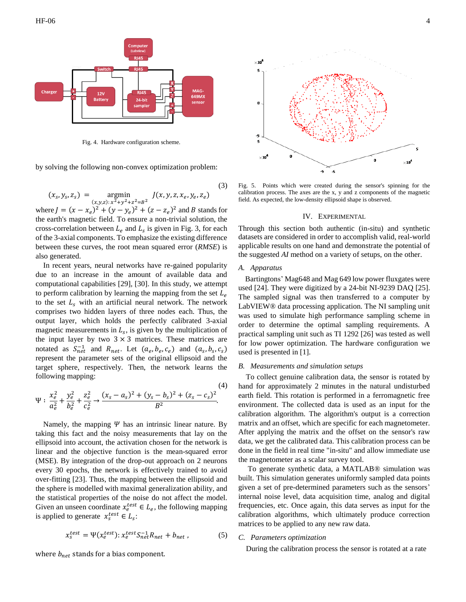

Fig. 4. Hardware configuration scheme.

by solving the following non-convex optimization problem:

$$
(x_s, y_s, z_s) = \underset{(x, y, z): x^2 + y^2 + z^2 = B^2}{\text{argmin}} J(x, y, z, x_e, y_e, z_e)
$$
 (3)

where  $J = (x - x_e)^2 + (y - y_e)^2 + (z - z_e)^2$  and B stands for the earth's magnetic field. To ensure a non-trivial solution, the cross-correlation between  $L_e$  and  $L_s$  is given in [Fig.](#page-2-1) 3, for each of the 3-axial components. To emphasize the existing difference between these curves, the root mean squared error (*RMSE*) is also generated.

In recent years, neural networks have re-gained popularity due to an increase in the amount of available data and computational capabilities [29], [30]. In this study, we attempt to perform calibration by learning the mapping from the set  $L_e$ to the set  $L_s$  with an artificial neural network. The network comprises two hidden layers of three nodes each. Thus, the output layer, which holds the perfectly calibrated 3-axial magnetic measurements in  $L_s$ , is given by the multiplication of the input layer by two  $3 \times 3$  matrices. These matrices are notated as  $S_{net}^{-1}$  and  $R_{net}$ . Let  $(a_e, b_e, c_e)$  and  $(a_s, b_s, c_s)$ represent the parameter sets of the original ellipsoid and the target sphere, respectively. Then, the network learns the following mapping:

$$
\Psi: \frac{x_e^2}{a_e^2} + \frac{y_e^2}{b_e^2} + \frac{z_e^2}{c_e^2} \to \frac{(x_s - a_s)^2 + (y_s - b_s)^2 + (z_s - c_s)^2}{B^2}.
$$
\n(4)

Namely, the mapping  $\Psi$  has an intrinsic linear nature. By taking this fact and the noisy measurements that lay on the ellipsoid into account, the activation chosen for the network is linear and the objective function is the mean-squared error (MSE). By integration of the drop-out approach on 2 neurons every 30 epochs, the network is effectively trained to avoid over-fitting [23]. Thus, the mapping between the ellipsoid and the sphere is modelled with maximal generalization ability, and the statistical properties of the noise do not affect the model. Given an unseen coordinate  $x_e^{test} \in L_e$ , the following mapping is applied to generate  $x_s^{test} \in L_s$ :

$$
x_s^{test} = \Psi(x_e^{test}) : x_e^{test} S_{net}^{-1} R_{net} + b_{net} , \qquad (5)
$$

where  $b_{net}$  stands for a bias component.



<span id="page-3-0"></span>Fig. 5. Points which were created during the sensor's spinning for the calibration process. The axes are the x, y and z components of the magnetic field. As expected, the low-density ellipsoid shape is observed.

# IV. EXPERIMENTAL

Through this section both authentic (in-situ) and synthetic datasets are considered in order to accomplish valid, real-world applicable results on one hand and demonstrate the potential of the suggested *AI* method on a variety of setups, on the other.

# *A. Apparatus*

Bartingtons' Mag648 and Mag 649 low power fluxgates were used [24]. They were digitized by a 24-bit NI-9239 DAQ [25]. The sampled signal was then transferred to a computer by LabVIEW® data processing application. The NI sampling unit was used to simulate high performance sampling scheme in order to determine the optimal sampling requirements. A practical sampling unit such as TI 1292 [26] was tested as well for low power optimization. The hardware configuration we used is presented in [1].

# *B. Measurements and simulation setups*

 To collect genuine calibration data, the sensor is rotated by hand for approximately 2 minutes in the natural undisturbed earth field. This rotation is performed in a ferromagnetic free environment. The collected data is used as an input for the calibration algorithm. The algorithm's output is a correction matrix and an offset, which are specific for each magnetometer. After applying the matrix and the offset on the sensor's raw data, we get the calibrated data. This calibration process can be done in the field in real time "in-situ" and allow immediate use the magnetometer as a scalar survey tool.

 To generate synthetic data, a MATLAB® simulation was built. This simulation generates uniformly sampled data points given a set of pre-determined parameters such as the sensors' internal noise level, data acquisition time, analog and digital frequencies, etc. Once again, this data serves as input for the calibration algorithms, which ultimately produce correction matrices to be applied to any new raw data.

#### *C. Parameters optimization*

During the calibration process the sensor is rotated at a rate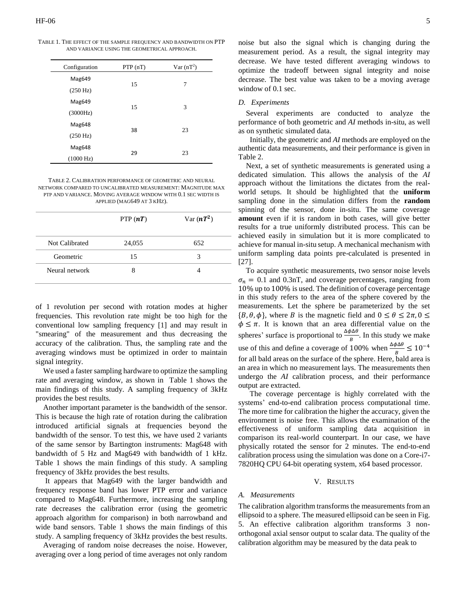TABLE 1. THE EFFECT OF THE SAMPLE FREQUENCY AND BANDWIDTH ON PTP AND VARIANCE USING THE GEOMETRICAL APPROACH.

| Configuration      | PTP(nT) | $Var(nT^2)$ |
|--------------------|---------|-------------|
| Mag649             |         |             |
| $(250 \text{ Hz})$ | 15      | 7           |
| Mag649             | 15      | 3           |
| (3000Hz)           |         |             |
| Mag648             | 38      | 23          |
| $(250 \text{ Hz})$ |         |             |
| Mag648             | 29      | 23          |
| (1000 Hz)          |         |             |

<span id="page-4-1"></span>TABLE 2. CALIBRATION PERFORMANCE OF GEOMETRIC AND NEURAL NETWORK COMPARED TO UNCALIBRATED MEASUREMENT: MAGNITUDE MAX PTP AND VARIANCE. MOVING AVERAGE WINDOW WITH 0.1 SEC WIDTH IS APPLIED (MAG649 AT 3 KHZ).

|                | PTP $(nT)$ | Var $(nT^2)$ |
|----------------|------------|--------------|
| Not Calibrated | 24,055     | 652          |
| Geometric      | 15         | 3            |
| Neural network |            |              |

of 1 revolution per second with rotation modes at higher frequencies. This revolution rate might be too high for the conventional low sampling frequency [1] and may result in "smearing" of the measurement and thus decreasing the accuracy of the calibration. Thus, the sampling rate and the averaging windows must be optimized in order to maintain signal integrity.

We used a faster sampling hardware to optimize the sampling rate and averaging window, as shown in [Table 1 shows the](#page-4-0)  main findings of this study. [A sampling frequency of 3kHz](#page-4-0)  [provides the best results.](#page-4-0)

Another important parameter is the bandwidth of the sensor. This is because the high rate of rotation during the calibration introduced artificial signals at frequencies beyond the bandwidth of the sensor. To test this, we have used 2 variants of the same sensor by Bartington instruments: Mag648 with bandwidth of 5 Hz and Mag649 with bandwidth of 1 kHz. [Table 1 shows the main findings](#page-4-0) of this study. A sampling [frequency of 3kHz provides the best results.](#page-4-0)

It appears that Mag649 with the larger bandwidth and frequency response band has lower PTP error and variance compared to Mag648. Furthermore, increasing the sampling rate decreases the calibration error (using the geometric approach algorithm for comparison) in both narrowband and wide band sensors. Table 1 shows the main findings of this study. A sampling frequency of 3kHz provides the best results.

<span id="page-4-0"></span>Averaging of random noise decreases the noise. However, averaging over a long period of time averages not only random noise but also the signal which is changing during the measurement period. As a result, the signal integrity may decrease. We have tested different averaging windows to optimize the tradeoff between signal integrity and noise decrease. The best value was taken to be a moving average window of 0.1 sec.

## *D. Experiments*

 Several experiments are conducted to analyze the performance of both geometric and *AI* methods in-situ, as well as on synthetic simulated data.

 Initially, the geometric and *AI* methods are employed on the authentic data measurements, and their performance is given in [Table 2.](#page-4-1)

 Next, a set of synthetic measurements is generated using a dedicated simulation. This allows the analysis of the *AI* approach without the limitations the dictates from the realworld setups. It should be highlighted that the **uniform** sampling done in the simulation differs from the **random** spinning of the sensor, done in-situ. The same coverage **amount** even if it is random in both cases, will give better results for a true uniformly distributed process. This can be achieved easily in simulation but it is more complicated to achieve for manual in-situ setup. A mechanical mechanism with uniform sampling data points pre-calculated is presented in [27].

 To acquire synthetic measurements, two sensor noise levels  $\sigma_n = 0.1$  and 0.3nT, and coverage percentages, ranging from 10% up to 100% is used. The definition of coverage percentage in this study refers to the area of the sphere covered by the measurements. Let the sphere be parameterized by the set  $\{B, \theta, \phi\}$ , where B is the magnetic field and  $0 \le \theta \le 2\pi$ ,  $0 \le \theta$  $\phi \leq \pi$ . It is known that an area differential value on the spheres' surface is proportional to  $\frac{\Delta \phi \Delta \theta}{B}$ . In this study we make use of this and define a coverage of 100% when  $\frac{\Delta \phi \Delta \theta}{B} \le 10^{-4}$ for all bald areas on the surface of the sphere. Here, bald area is an area in which no measurement lays. The measurements then undergo the *AI* calibration process, and their performance output are extracted.

 The coverage percentage is highly correlated with the systems' end-to-end calibration process computational time. The more time for calibration the higher the accuracy, given the environment is noise free. This allows the examination of the effectiveness of uniform sampling data acquisition in comparison its real-world counterpart. In our case, we have physically rotated the sensor for 2 minutes. The end-to-end calibration process using the simulation was done on a Core-i7- 7820HQ CPU 64-bit operating system, x64 based processor.

## V. RESULTS

## *A. Measurements*

The calibration algorithm transforms the measurements from an ellipsoid to a sphere. The measured ellipsoid can be seen in [Fig.](#page-3-0) 5. An effective calibration algorithm transforms 3 nonorthogonal axial sensor output to scalar data. The quality of the calibration algorithm may be measured by the data peak to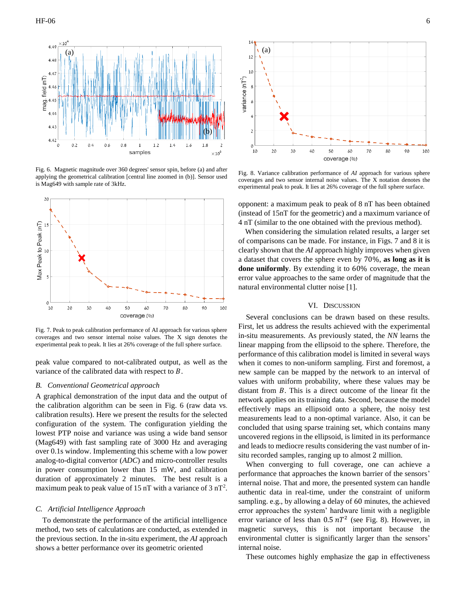

Fig. 6. Magnetic magnitude over 360 degrees' sensor spin, before (a) and after applying the geometrical calibration [central line zoomed in (b)]. Sensor used is Mag649 with sample rate of 3kHz.



Fig. 7. Peak to peak calibration performance of AI approach for various sphere coverages and two sensor internal noise values. The X sign denotes the experimental peak to peak. It lies at 26% coverage of the full sphere surface.

peak value compared to not-calibrated output, as well as the variance of the calibrated data with respect to  $B$ .

# *B. Conventional Geometrical approach*

A graphical demonstration of the input data and the output of the calibration algorithm can be seen in Fig. 6 (raw data vs. calibration results). Here we present the results for the selected configuration of the system. The configuration yielding the lowest PTP noise and variance was using a wide band sensor (Mag649) with fast sampling rate of 3000 Hz and averaging over 0.1s window. Implementing this scheme with a low power analog-to-digital convertor (*ADC*) and micro-controller results in power consumption lower than 15 mW, and calibration duration of approximately 2 minutes. The best result is a maximum peak to peak value of 15 nT with a variance of  $3 \text{ nT}^2$ .

# *C. Artificial Intelligence Approach*

To demonstrate the performance of the artificial intelligence method, two sets of calculations are conducted, as extended in the previous section. In the in-situ experiment, the *AI* approach shows a better performance over its geometric oriented



Fig. 8. Variance calibration performance of *AI* approach for various sphere coverages and two sensor internal noise values. The X notation denotes the experimental peak to peak. It lies at 26% coverage of the full sphere surface.

opponent: a maximum peak to peak of 8 nT has been obtained (instead of 15nT for the geometric) and a maximum variance of 4 nT (similar to the one obtained with the previous method).

When considering the simulation related results, a larger set of comparisons can be made. For instance, in Figs. 7 and 8 it is clearly shown that the *AI* approach highly improves when given a dataset that covers the sphere even by 70%, **as long as it is done uniformly**. By extending it to 60% coverage, the mean error value approaches to the same order of magnitude that the natural environmental clutter noise [1].

## VI. DISCUSSION

Several conclusions can be drawn based on these results. First, let us address the results achieved with the experimental in-situ measurements. As previously stated, the *NN* learns the linear mapping from the ellipsoid to the sphere. Therefore, the performance of this calibration model is limited in several ways when it comes to non-uniform sampling. First and foremost, a new sample can be mapped by the network to an interval of values with uniform probability, where these values may be distant from  $B$ . This is a direct outcome of the linear fit the network applies on its training data. Second, because the model effectively maps an ellipsoid onto a sphere, the noisy test measurements lead to a non-optimal variance. Also, it can be concluded that using sparse training set, which contains many uncovered regions in the ellipsoid, is limited in its performance and leads to mediocre results considering the vast number of insitu recorded samples, ranging up to almost 2 million.

When converging to full coverage, one can achieve a performance that approaches the known barrier of the sensors' internal noise. That and more, the presented system can handle authentic data in real-time, under the constraint of uniform sampling. e.g., by allowing a delay of 60 minutes, the achieved error approaches the system' hardware limit with a negligible error variance of less than  $0.5 nT^2$  (see Fig. 8). However, in magnetic surveys, this is not important because the environmental clutter is significantly larger than the sensors' internal noise.

These outcomes highly emphasize the gap in effectiveness